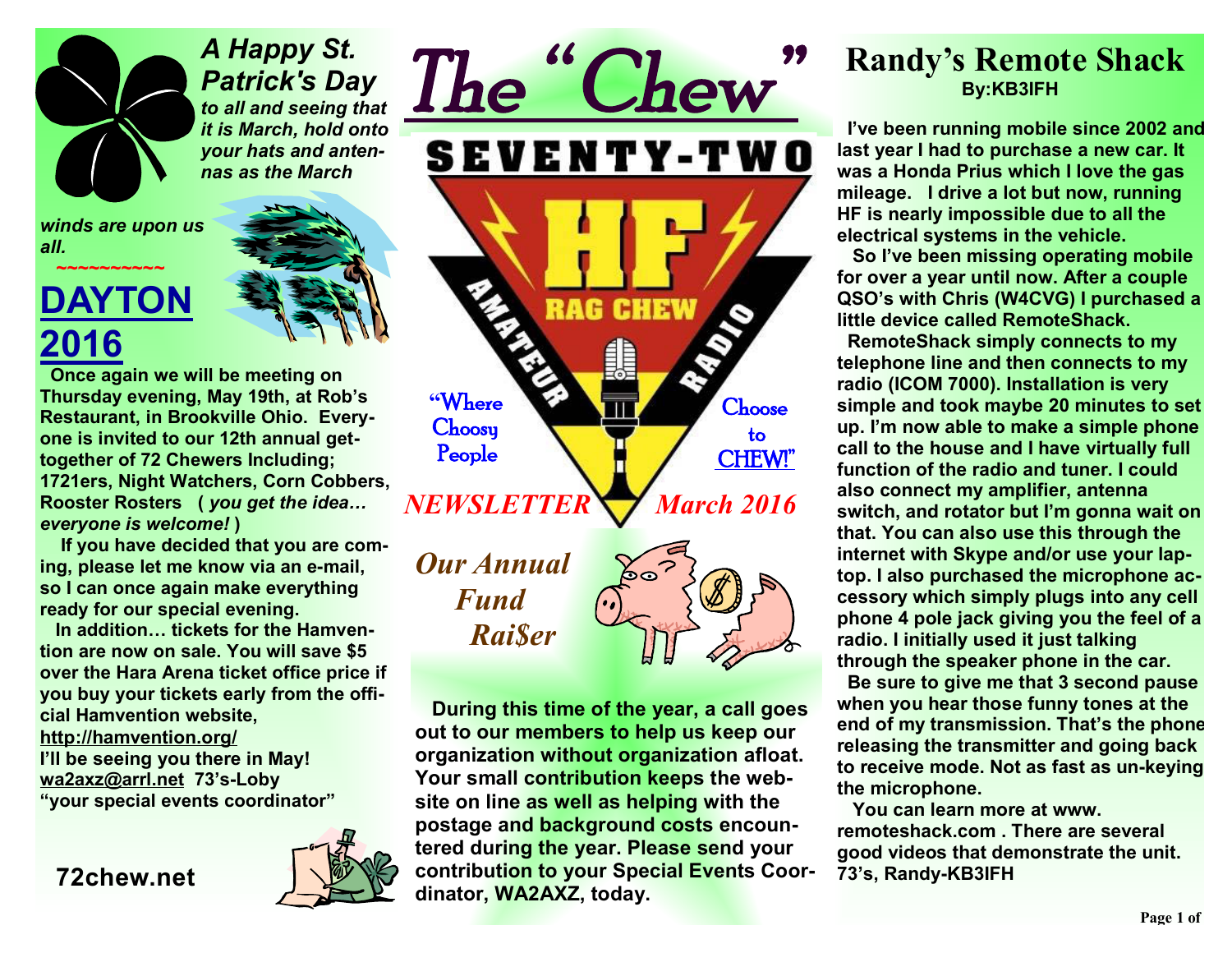*A Happy St. Patrick's Day to all and seeing that it is March, hold onto your hats and antennas as the March* 

*winds are upon us all.* 

## **DAYTON 2016**

 *~~~~~~~~~~* 

 **Once again we will be meeting on Thursday evening, May 19th, at Rob's Restaurant, in Brookville Ohio. Everyone is invited to our 12th annual gettogether of 72 Chewers Including; 1721ers, Night Watchers, Corn Cobbers, Rooster Rosters (** *you get the idea… everyone is welcome!* **)** 

 **If you have decided that you are coming, please let me know via an e-mail, so I can once again make everything ready for our special evening.** 

 **In addition… tickets for the Hamvention are now on sale. You will save \$5 over the Hara Arena ticket office price if you buy your tickets early from the official Hamvention website, http://hamvention.org/ I'll be seeing you there in May! wa2axz@arrl.net 73's-Loby "your special events coordinator"** 

**72chew.net**



*The " Chew"*  SEVENTY-TWO RAG **CH "Where Choose Choosy to People CHEW!"**  *NEWSLETTER* *March 2016* 

*Our Annual Fund Rai\$er* 



 **During this time of the year, a call goes out to our members to help us keep our organization without organization afloat. Your small contribution keeps the website on line as well as helping with the postage and background costs encountered during the year. Please send your contribution to your Special Events Coordinator, WA2AXZ, today.** 

### **Randy's Remote Shack By:KB3IFH**

 **I've been running mobile since 2002 and last year I had to purchase a new car. It was a Honda Prius which I love the gas mileage. I drive a lot but now, running HF is nearly impossible due to all the electrical systems in the vehicle.** 

 **So I've been missing operating mobile for over a year until now. After a couple QSO's with Chris (W4CVG) I purchased a little device called RemoteShack.** 

 **RemoteShack simply connects to my telephone line and then connects to my radio (ICOM 7000). Installation is very simple and took maybe 20 minutes to set up. I'm now able to make a simple phone call to the house and I have virtually full function of the radio and tuner. I could also connect my amplifier, antenna switch, and rotator but I'm gonna wait on that. You can also use this through the internet with Skype and/or use your laptop. I also purchased the microphone accessory which simply plugs into any cell phone 4 pole jack giving you the feel of a radio. I initially used it just talking through the speaker phone in the car.** 

 **Be sure to give me that 3 second pause when you hear those funny tones at the end of my transmission. That's the phone releasing the transmitter and going back to receive mode. Not as fast as un-keying the microphone.** 

 **You can learn more at www. remoteshack.com . There are several good videos that demonstrate the unit. 73's, Randy-KB3IFH**